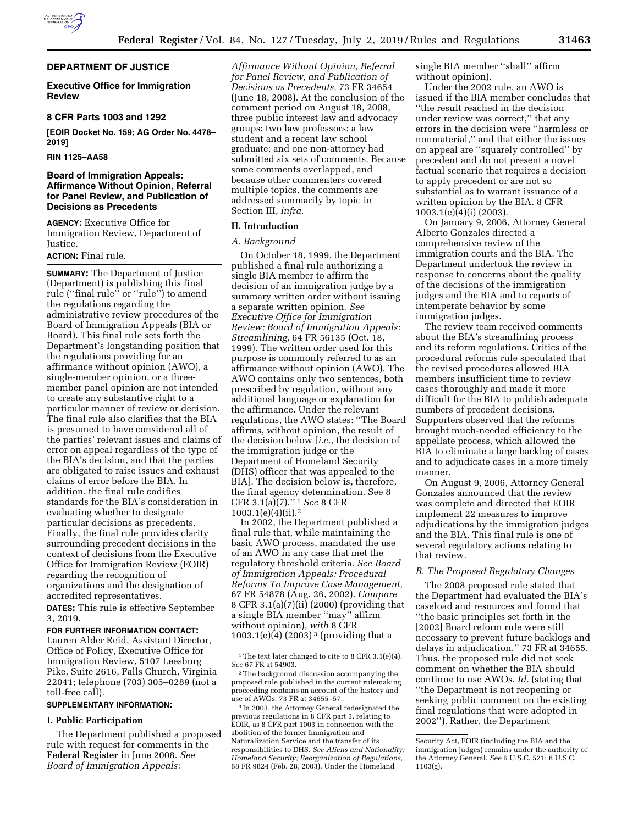## **DEPARTMENT OF JUSTICE**

# **Executive Office for Immigration Review**

## **8 CFR Parts 1003 and 1292**

**[EOIR Docket No. 159; AG Order No. 4478– 2019]** 

**RIN 1125–AA58** 

# **Board of Immigration Appeals: Affirmance Without Opinion, Referral for Panel Review, and Publication of Decisions as Precedents**

**AGENCY:** Executive Office for Immigration Review, Department of Justice.

# **ACTION:** Final rule.

**SUMMARY:** The Department of Justice (Department) is publishing this final rule (''final rule'' or ''rule'') to amend the regulations regarding the administrative review procedures of the Board of Immigration Appeals (BIA or Board). This final rule sets forth the Department's longstanding position that the regulations providing for an affirmance without opinion (AWO), a single-member opinion, or a threemember panel opinion are not intended to create any substantive right to a particular manner of review or decision. The final rule also clarifies that the BIA is presumed to have considered all of the parties' relevant issues and claims of error on appeal regardless of the type of the BIA's decision, and that the parties are obligated to raise issues and exhaust claims of error before the BIA. In addition, the final rule codifies standards for the BIA's consideration in evaluating whether to designate particular decisions as precedents. Finally, the final rule provides clarity surrounding precedent decisions in the context of decisions from the Executive Office for Immigration Review (EOIR) regarding the recognition of organizations and the designation of accredited representatives.

**DATES:** This rule is effective September 3, 2019.

### **FOR FURTHER INFORMATION CONTACT:**

Lauren Alder Reid, Assistant Director, Office of Policy, Executive Office for Immigration Review, 5107 Leesburg Pike, Suite 2616, Falls Church, Virginia 22041; telephone (703) 305–0289 (not a toll-free call).

## **SUPPLEMENTARY INFORMATION:**

## **I. Public Participation**

The Department published a proposed rule with request for comments in the **Federal Register** in June 2008. *See Board of Immigration Appeals:* 

*Affirmance Without Opinion, Referral for Panel Review, and Publication of Decisions as Precedents,* 73 FR 34654 (June 18, 2008). At the conclusion of the comment period on August 18, 2008, three public interest law and advocacy groups; two law professors; a law student and a recent law school graduate; and one non-attorney had submitted six sets of comments. Because some comments overlapped, and because other commenters covered multiple topics, the comments are addressed summarily by topic in Section III, *infra.* 

#### **II. Introduction**

### *A. Background*

On October 18, 1999, the Department published a final rule authorizing a single BIA member to affirm the decision of an immigration judge by a summary written order without issuing a separate written opinion. *See Executive Office for Immigration Review; Board of Immigration Appeals: Streamlining,* 64 FR 56135 (Oct. 18, 1999). The written order used for this purpose is commonly referred to as an affirmance without opinion (AWO). The AWO contains only two sentences, both prescribed by regulation, without any additional language or explanation for the affirmance. Under the relevant regulations, the AWO states: ''The Board affirms, without opinion, the result of the decision below [*i.e.,* the decision of the immigration judge or the Department of Homeland Security (DHS) officer that was appealed to the BIA]. The decision below is, therefore, the final agency determination. See 8 CFR 3.1(a)(7).'' 1 *See* 8 CFR 1003.1(e)(4)(ii).2

In 2002, the Department published a final rule that, while maintaining the basic AWO process, mandated the use of an AWO in any case that met the regulatory threshold criteria. *See Board of Immigration Appeals: Procedural Reforms To Improve Case Management,*  67 FR 54878 (Aug. 26, 2002). *Compare*  8 CFR 3.1(a)(7)(ii) (2000) (providing that a single BIA member ''may'' affirm without opinion), *with* 8 CFR  $1003.1(e)(4)$  (2003)<sup>3</sup> (providing that a

single BIA member ''shall'' affirm without opinion).

Under the 2002 rule, an AWO is issued if the BIA member concludes that ''the result reached in the decision under review was correct,'' that any errors in the decision were ''harmless or nonmaterial,'' and that either the issues on appeal are ''squarely controlled'' by precedent and do not present a novel factual scenario that requires a decision to apply precedent or are not so substantial as to warrant issuance of a written opinion by the BIA. 8 CFR 1003.1(e)(4)(i) (2003).

On January 9, 2006, Attorney General Alberto Gonzales directed a comprehensive review of the immigration courts and the BIA. The Department undertook the review in response to concerns about the quality of the decisions of the immigration judges and the BIA and to reports of intemperate behavior by some immigration judges.

The review team received comments about the BIA's streamlining process and its reform regulations. Critics of the procedural reforms rule speculated that the revised procedures allowed BIA members insufficient time to review cases thoroughly and made it more difficult for the BIA to publish adequate numbers of precedent decisions. Supporters observed that the reforms brought much-needed efficiency to the appellate process, which allowed the BIA to eliminate a large backlog of cases and to adjudicate cases in a more timely manner.

On August 9, 2006, Attorney General Gonzales announced that the review was complete and directed that EOIR implement 22 measures to improve adjudications by the immigration judges and the BIA. This final rule is one of several regulatory actions relating to that review.

## *B. The Proposed Regulatory Changes*

The 2008 proposed rule stated that the Department had evaluated the BIA's caseload and resources and found that ''the basic principles set forth in the [2002] Board reform rule were still necessary to prevent future backlogs and delays in adjudication.'' 73 FR at 34655. Thus, the proposed rule did not seek comment on whether the BIA should continue to use AWOs. *Id.* (stating that ''the Department is not reopening or seeking public comment on the existing final regulations that were adopted in 2002''). Rather, the Department

<sup>&</sup>lt;sup>1</sup>The text later changed to cite to 8 CFR 3.1(e)(4). *See* 67 FR at 54903.

 $\,{}^2$  The background discussion accompanying the proposed rule published in the current rulemaking proceeding contains an account of the history and use of AWOs. 73 FR at 34655–57.

<sup>3</sup> In 2003, the Attorney General redesignated the previous regulations in 8 CFR part 3, relating to EOIR, as 8 CFR part 1003 in connection with the abolition of the former Immigration and Naturalization Service and the transfer of its responsibilities to DHS. *See Aliens and Nationality; Homeland Security; Reorganization of Regulations,*  68 FR 9824 (Feb. 28, 2003). Under the Homeland

Security Act, EOIR (including the BIA and the immigration judges) remains under the authority of the Attorney General. *See* 6 U.S.C. 521; 8 U.S.C. 1103(g).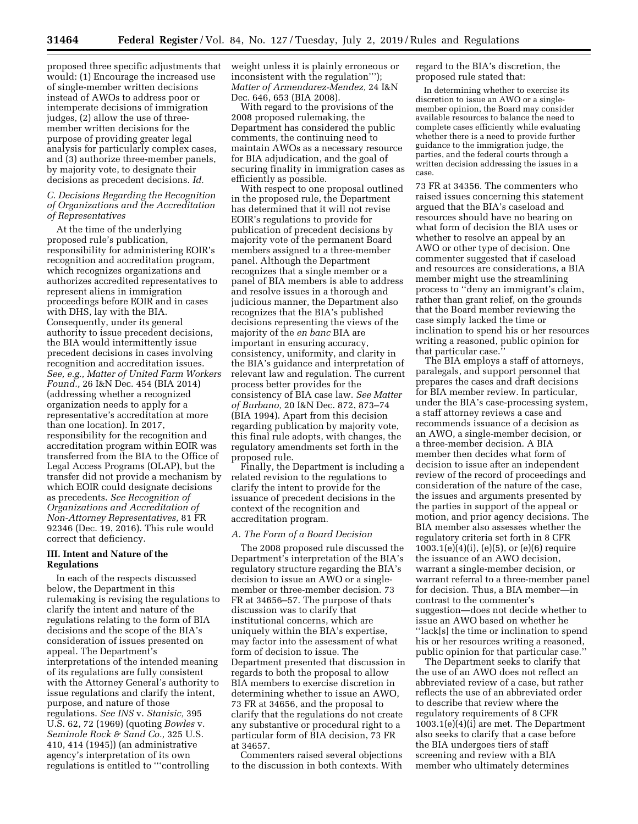proposed three specific adjustments that would: (1) Encourage the increased use of single-member written decisions instead of AWOs to address poor or intemperate decisions of immigration judges, (2) allow the use of threemember written decisions for the purpose of providing greater legal analysis for particularly complex cases, and (3) authorize three-member panels, by majority vote, to designate their decisions as precedent decisions. *Id.* 

# *C. Decisions Regarding the Recognition of Organizations and the Accreditation of Representatives*

At the time of the underlying proposed rule's publication, responsibility for administering EOIR's recognition and accreditation program, which recognizes organizations and authorizes accredited representatives to represent aliens in immigration proceedings before EOIR and in cases with DHS, lay with the BIA. Consequently, under its general authority to issue precedent decisions, the BIA would intermittently issue precedent decisions in cases involving recognition and accreditation issues. *See, e.g., Matter of United Farm Workers Found.,* 26 I&N Dec. 454 (BIA 2014) (addressing whether a recognized organization needs to apply for a representative's accreditation at more than one location). In 2017, responsibility for the recognition and accreditation program within EOIR was transferred from the BIA to the Office of Legal Access Programs (OLAP), but the transfer did not provide a mechanism by which EOIR could designate decisions as precedents. *See Recognition of Organizations and Accreditation of Non-Attorney Representatives,* 81 FR 92346 (Dec. 19, 2016). This rule would correct that deficiency.

# **III. Intent and Nature of the Regulations**

In each of the respects discussed below, the Department in this rulemaking is revising the regulations to clarify the intent and nature of the regulations relating to the form of BIA decisions and the scope of the BIA's consideration of issues presented on appeal. The Department's interpretations of the intended meaning of its regulations are fully consistent with the Attorney General's authority to issue regulations and clarify the intent, purpose, and nature of those regulations. *See INS* v. *Stanisic,* 395 U.S. 62, 72 (1969) (quoting *Bowles* v. *Seminole Rock & Sand Co.,* 325 U.S. 410, 414 (1945)) (an administrative agency's interpretation of its own regulations is entitled to '''controlling

weight unless it is plainly erroneous or inconsistent with the regulation'''); *Matter of Armendarez-Mendez,* 24 I&N Dec. 646, 653 (BIA 2008).

With regard to the provisions of the 2008 proposed rulemaking, the Department has considered the public comments, the continuing need to maintain AWOs as a necessary resource for BIA adjudication, and the goal of securing finality in immigration cases as efficiently as possible.

With respect to one proposal outlined in the proposed rule, the Department has determined that it will not revise EOIR's regulations to provide for publication of precedent decisions by majority vote of the permanent Board members assigned to a three-member panel. Although the Department recognizes that a single member or a panel of BIA members is able to address and resolve issues in a thorough and judicious manner, the Department also recognizes that the BIA's published decisions representing the views of the majority of the *en banc* BIA are important in ensuring accuracy, consistency, uniformity, and clarity in the BIA's guidance and interpretation of relevant law and regulation. The current process better provides for the consistency of BIA case law. *See Matter of Burbano,* 20 I&N Dec. 872, 873–74 (BIA 1994). Apart from this decision regarding publication by majority vote, this final rule adopts, with changes, the regulatory amendments set forth in the proposed rule.

Finally, the Department is including a related revision to the regulations to clarify the intent to provide for the issuance of precedent decisions in the context of the recognition and accreditation program.

## *A. The Form of a Board Decision*

The 2008 proposed rule discussed the Department's interpretation of the BIA's regulatory structure regarding the BIA's decision to issue an AWO or a singlemember or three-member decision. 73 FR at 34656–57. The purpose of thats discussion was to clarify that institutional concerns, which are uniquely within the BIA's expertise, may factor into the assessment of what form of decision to issue. The Department presented that discussion in regards to both the proposal to allow BIA members to exercise discretion in determining whether to issue an AWO, 73 FR at 34656, and the proposal to clarify that the regulations do not create any substantive or procedural right to a particular form of BIA decision, 73 FR at 34657.

Commenters raised several objections to the discussion in both contexts. With regard to the BIA's discretion, the proposed rule stated that:

In determining whether to exercise its discretion to issue an AWO or a singlemember opinion, the Board may consider available resources to balance the need to complete cases efficiently while evaluating whether there is a need to provide further guidance to the immigration judge, the parties, and the federal courts through a written decision addressing the issues in a case.

73 FR at 34356. The commenters who raised issues concerning this statement argued that the BIA's caseload and resources should have no bearing on what form of decision the BIA uses or whether to resolve an appeal by an AWO or other type of decision. One commenter suggested that if caseload and resources are considerations, a BIA member might use the streamlining process to ''deny an immigrant's claim, rather than grant relief, on the grounds that the Board member reviewing the case simply lacked the time or inclination to spend his or her resources writing a reasoned, public opinion for that particular case.

The BIA employs a staff of attorneys, paralegals, and support personnel that prepares the cases and draft decisions for BIA member review. In particular, under the BIA's case-processing system, a staff attorney reviews a case and recommends issuance of a decision as an AWO, a single-member decision, or a three-member decision. A BIA member then decides what form of decision to issue after an independent review of the record of proceedings and consideration of the nature of the case, the issues and arguments presented by the parties in support of the appeal or motion, and prior agency decisions. The BIA member also assesses whether the regulatory criteria set forth in 8 CFR 1003.1(e)(4)(i), (e)(5), or (e)(6) require the issuance of an AWO decision, warrant a single-member decision, or warrant referral to a three-member panel for decision. Thus, a BIA member—in contrast to the commenter's suggestion—does not decide whether to issue an AWO based on whether he ''lack[s] the time or inclination to spend his or her resources writing a reasoned, public opinion for that particular case.''

The Department seeks to clarify that the use of an AWO does not reflect an abbreviated review of a case, but rather reflects the use of an abbreviated order to describe that review where the regulatory requirements of 8 CFR 1003.1(e)(4)(i) are met. The Department also seeks to clarify that a case before the BIA undergoes tiers of staff screening and review with a BIA member who ultimately determines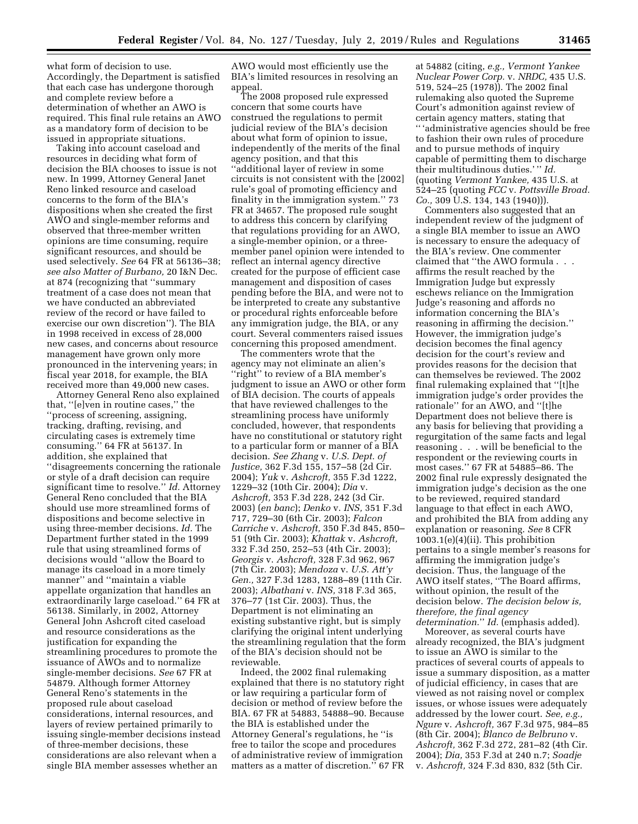what form of decision to use. Accordingly, the Department is satisfied that each case has undergone thorough and complete review before a determination of whether an AWO is required. This final rule retains an AWO as a mandatory form of decision to be issued in appropriate situations.

Taking into account caseload and resources in deciding what form of decision the BIA chooses to issue is not new. In 1999, Attorney General Janet Reno linked resource and caseload concerns to the form of the BIA's dispositions when she created the first AWO and single-member reforms and observed that three-member written opinions are time consuming, require significant resources, and should be used selectively. *See* 64 FR at 56136–38; *see also Matter of Burbano,* 20 I&N Dec. at 874 (recognizing that ''summary treatment of a case does not mean that we have conducted an abbreviated review of the record or have failed to exercise our own discretion''). The BIA in 1998 received in excess of 28,000 new cases, and concerns about resource management have grown only more pronounced in the intervening years; in fiscal year 2018, for example, the BIA received more than 49,000 new cases.

Attorney General Reno also explained that, ''[e]ven in routine cases,'' the ''process of screening, assigning, tracking, drafting, revising, and circulating cases is extremely time consuming.'' 64 FR at 56137. In addition, she explained that ''disagreements concerning the rationale or style of a draft decision can require significant time to resolve.'' *Id.* Attorney General Reno concluded that the BIA should use more streamlined forms of dispositions and become selective in using three-member decisions. *Id.* The Department further stated in the 1999 rule that using streamlined forms of decisions would ''allow the Board to manage its caseload in a more timely manner'' and ''maintain a viable appellate organization that handles an extraordinarily large caseload.'' 64 FR at 56138. Similarly, in 2002, Attorney General John Ashcroft cited caseload and resource considerations as the justification for expanding the streamlining procedures to promote the issuance of AWOs and to normalize single-member decisions. *See* 67 FR at 54879. Although former Attorney General Reno's statements in the proposed rule about caseload considerations, internal resources, and layers of review pertained primarily to issuing single-member decisions instead of three-member decisions, these considerations are also relevant when a single BIA member assesses whether an

AWO would most efficiently use the BIA's limited resources in resolving an appeal.

The 2008 proposed rule expressed concern that some courts have construed the regulations to permit judicial review of the BIA's decision about what form of opinion to issue, independently of the merits of the final agency position, and that this ''additional layer of review in some circuits is not consistent with the [2002] rule's goal of promoting efficiency and finality in the immigration system.'' 73 FR at 34657. The proposed rule sought to address this concern by clarifying that regulations providing for an AWO, a single-member opinion, or a threemember panel opinion were intended to reflect an internal agency directive created for the purpose of efficient case management and disposition of cases pending before the BIA, and were not to be interpreted to create any substantive or procedural rights enforceable before any immigration judge, the BIA, or any court. Several commenters raised issues concerning this proposed amendment.

The commenters wrote that the agency may not eliminate an alien's ''right'' to review of a BIA member's judgment to issue an AWO or other form of BIA decision. The courts of appeals that have reviewed challenges to the streamlining process have uniformly concluded, however, that respondents have no constitutional or statutory right to a particular form or manner of a BIA decision. *See Zhang* v. *U.S. Dept. of Justice,* 362 F.3d 155, 157–58 (2d Cir. 2004); *Yuk* v. *Ashcroft,* 355 F.3d 1222, 1229–32 (10th Cir. 2004); *Dia* v. *Ashcroft,* 353 F.3d 228, 242 (3d Cir. 2003) (*en banc*); *Denko* v. *INS,* 351 F.3d 717, 729–30 (6th Cir. 2003); *Falcon Carriche* v. *Ashcroft,* 350 F.3d 845, 850– 51 (9th Cir. 2003); *Khattak* v. *Ashcroft,*  332 F.3d 250, 252–53 (4th Cir. 2003); *Georgis* v. *Ashcroft,* 328 F.3d 962, 967 (7th Cir. 2003); *Mendoza* v. *U.S. Att'y Gen.,* 327 F.3d 1283, 1288–89 (11th Cir. 2003); *Albathani* v. *INS,* 318 F.3d 365, 376–77 (1st Cir. 2003). Thus, the Department is not eliminating an existing substantive right, but is simply clarifying the original intent underlying the streamlining regulation that the form of the BIA's decision should not be reviewable.

Indeed, the 2002 final rulemaking explained that there is no statutory right or law requiring a particular form of decision or method of review before the BIA. 67 FR at 54883, 54888–90. Because the BIA is established under the Attorney General's regulations, he ''is free to tailor the scope and procedures of administrative review of immigration matters as a matter of discretion.'' 67 FR

at 54882 (citing, *e.g., Vermont Yankee Nuclear Power Corp.* v. *NRDC,* 435 U.S. 519, 524–25 (1978)). The 2002 final rulemaking also quoted the Supreme Court's admonition against review of certain agency matters, stating that

'' 'administrative agencies should be free to fashion their own rules of procedure and to pursue methods of inquiry capable of permitting them to discharge their multitudinous duties.' '' *Id.*  (quoting *Vermont Yankee,* 435 U.S. at 524–25 (quoting *FCC* v. *Pottsville Broad. Co.,* 309 U.S. 134, 143 (1940))).

Commenters also suggested that an independent review of the judgment of a single BIA member to issue an AWO is necessary to ensure the adequacy of the BIA's review. One commenter claimed that ''the AWO formula . . . affirms the result reached by the Immigration Judge but expressly eschews reliance on the Immigration Judge's reasoning and affords no information concerning the BIA's reasoning in affirming the decision.'' However, the immigration judge's decision becomes the final agency decision for the court's review and provides reasons for the decision that can themselves be reviewed. The 2002 final rulemaking explained that ''[t]he immigration judge's order provides the rationale'' for an AWO, and ''[t]he Department does not believe there is any basis for believing that providing a regurgitation of the same facts and legal reasoning . . . will be beneficial to the respondent or the reviewing courts in most cases.'' 67 FR at 54885–86. The 2002 final rule expressly designated the immigration judge's decision as the one to be reviewed, required standard language to that effect in each AWO, and prohibited the BIA from adding any explanation or reasoning. *See* 8 CFR 1003.1(e)(4)(ii). This prohibition pertains to a single member's reasons for affirming the immigration judge's decision. Thus, the language of the AWO itself states, ''The Board affirms, without opinion, the result of the decision below. *The decision below is, therefore, the final agency determination.*'' *Id.* (emphasis added).

Moreover, as several courts have already recognized, the BIA's judgment to issue an AWO is similar to the practices of several courts of appeals to issue a summary disposition, as a matter of judicial efficiency, in cases that are viewed as not raising novel or complex issues, or whose issues were adequately addressed by the lower court. *See, e.g., Ngure* v. *Ashcroft,* 367 F.3d 975, 984–85 (8th Cir. 2004); *Blanco de Belbruno* v. *Ashcroft,* 362 F.3d 272, 281–82 (4th Cir. 2004); *Dia,* 353 F.3d at 240 n.7; *Soadje*  v. *Ashcroft,* 324 F.3d 830, 832 (5th Cir.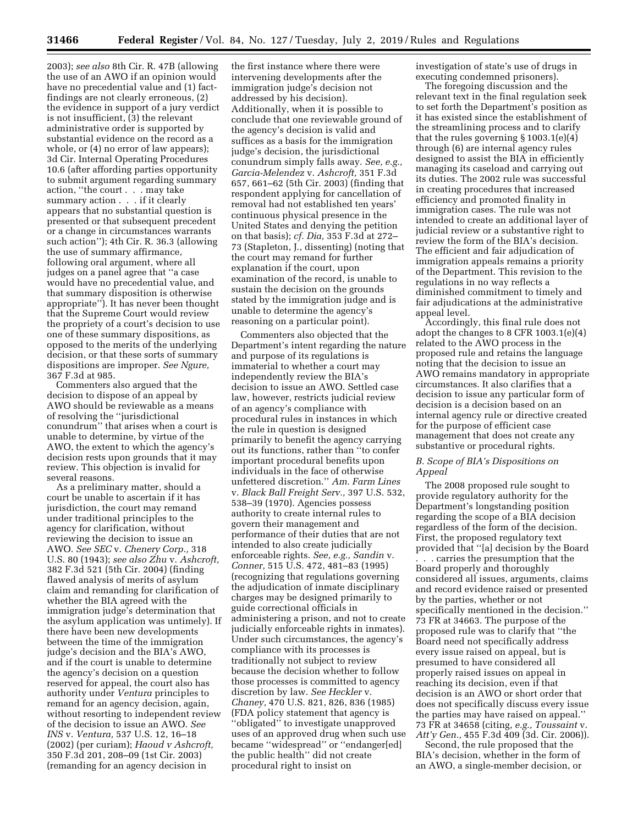2003); *see also* 8th Cir. R. 47B (allowing the use of an AWO if an opinion would have no precedential value and (1) factfindings are not clearly erroneous, (2) the evidence in support of a jury verdict is not insufficient, (3) the relevant administrative order is supported by substantial evidence on the record as a whole, or (4) no error of law appears); 3d Cir. Internal Operating Procedures 10.6 (after affording parties opportunity to submit argument regarding summary action, ''the court . . . may take summary action . . . if it clearly appears that no substantial question is presented or that subsequent precedent or a change in circumstances warrants such action''); 4th Cir. R. 36.3 (allowing the use of summary affirmance, following oral argument, where all judges on a panel agree that ''a case would have no precedential value, and that summary disposition is otherwise appropriate''). It has never been thought that the Supreme Court would review the propriety of a court's decision to use one of these summary dispositions, as opposed to the merits of the underlying decision, or that these sorts of summary dispositions are improper. *See Ngure,*  367 F.3d at 985.

Commenters also argued that the decision to dispose of an appeal by AWO should be reviewable as a means of resolving the ''jurisdictional conundrum'' that arises when a court is unable to determine, by virtue of the AWO, the extent to which the agency's decision rests upon grounds that it may review. This objection is invalid for several reasons.

As a preliminary matter, should a court be unable to ascertain if it has jurisdiction, the court may remand under traditional principles to the agency for clarification, without reviewing the decision to issue an AWO. *See SEC* v. *Chenery Corp.,* 318 U.S. 80 (1943); *see also Zhu* v. *Ashcroft,*  382 F.3d 521 (5th Cir. 2004) (finding flawed analysis of merits of asylum claim and remanding for clarification of whether the BIA agreed with the immigration judge's determination that the asylum application was untimely). If there have been new developments between the time of the immigration judge's decision and the BIA's AWO, and if the court is unable to determine the agency's decision on a question reserved for appeal, the court also has authority under *Ventura* principles to remand for an agency decision, again, without resorting to independent review of the decision to issue an AWO. *See INS* v. *Ventura,* 537 U.S. 12, 16–18 (2002) (per curiam); *Haoud v Ashcroft,*  350 F.3d 201, 208–09 (1st Cir. 2003) (remanding for an agency decision in

the first instance where there were intervening developments after the immigration judge's decision not addressed by his decision). Additionally, when it is possible to conclude that one reviewable ground of the agency's decision is valid and suffices as a basis for the immigration judge's decision, the jurisdictional conundrum simply falls away. *See, e.g., Garcia-Melendez* v. *Ashcroft,* 351 F.3d 657, 661–62 (5th Cir. 2003) (finding that respondent applying for cancellation of removal had not established ten years' continuous physical presence in the United States and denying the petition on that basis); *cf. Dia,* 353 F.3d at 272– 73 (Stapleton, J., dissenting) (noting that the court may remand for further explanation if the court, upon examination of the record, is unable to sustain the decision on the grounds stated by the immigration judge and is unable to determine the agency's reasoning on a particular point).

Commenters also objected that the Department's intent regarding the nature and purpose of its regulations is immaterial to whether a court may independently review the BIA's decision to issue an AWO. Settled case law, however, restricts judicial review of an agency's compliance with procedural rules in instances in which the rule in question is designed primarily to benefit the agency carrying out its functions, rather than ''to confer important procedural benefits upon individuals in the face of otherwise unfettered discretion.'' *Am. Farm Lines*  v. *Black Ball Freight Serv.,* 397 U.S. 532, 538–39 (1970). Agencies possess authority to create internal rules to govern their management and performance of their duties that are not intended to also create judicially enforceable rights. *See, e.g., Sandin* v. *Conner,* 515 U.S. 472, 481–83 (1995) (recognizing that regulations governing the adjudication of inmate disciplinary charges may be designed primarily to guide correctional officials in administering a prison, and not to create judicially enforceable rights in inmates). Under such circumstances, the agency's compliance with its processes is traditionally not subject to review because the decision whether to follow those processes is committed to agency discretion by law. *See Heckler* v. *Chaney,* 470 U.S. 821, 826, 836 (1985) (FDA policy statement that agency is ''obligated'' to investigate unapproved uses of an approved drug when such use became ''widespread'' or ''endanger[ed] the public health'' did not create procedural right to insist on

investigation of state's use of drugs in executing condemned prisoners).

The foregoing discussion and the relevant text in the final regulation seek to set forth the Department's position as it has existed since the establishment of the streamlining process and to clarify that the rules governing § 1003.1(e)(4) through (6) are internal agency rules designed to assist the BIA in efficiently managing its caseload and carrying out its duties. The 2002 rule was successful in creating procedures that increased efficiency and promoted finality in immigration cases. The rule was not intended to create an additional layer of judicial review or a substantive right to review the form of the BIA's decision. The efficient and fair adjudication of immigration appeals remains a priority of the Department. This revision to the regulations in no way reflects a diminished commitment to timely and fair adjudications at the administrative appeal level.

Accordingly, this final rule does not adopt the changes to 8 CFR 1003.1(e)(4) related to the AWO process in the proposed rule and retains the language noting that the decision to issue an AWO remains mandatory in appropriate circumstances. It also clarifies that a decision to issue any particular form of decision is a decision based on an internal agency rule or directive created for the purpose of efficient case management that does not create any substantive or procedural rights.

# *B. Scope of BIA's Dispositions on Appeal*

The 2008 proposed rule sought to provide regulatory authority for the Department's longstanding position regarding the scope of a BIA decision regardless of the form of the decision. First, the proposed regulatory text provided that ''[a] decision by the Board

. . . carries the presumption that the Board properly and thoroughly considered all issues, arguments, claims and record evidence raised or presented by the parties, whether or not specifically mentioned in the decision.'' 73 FR at 34663. The purpose of the proposed rule was to clarify that ''the Board need not specifically address every issue raised on appeal, but is presumed to have considered all properly raised issues on appeal in reaching its decision, even if that decision is an AWO or short order that does not specifically discuss every issue the parties may have raised on appeal.'' 73 FR at 34658 (citing, *e.g., Toussaint* v. *Att'y Gen.,* 455 F.3d 409 (3d. Cir. 2006)).

Second, the rule proposed that the BIA's decision, whether in the form of an AWO, a single-member decision, or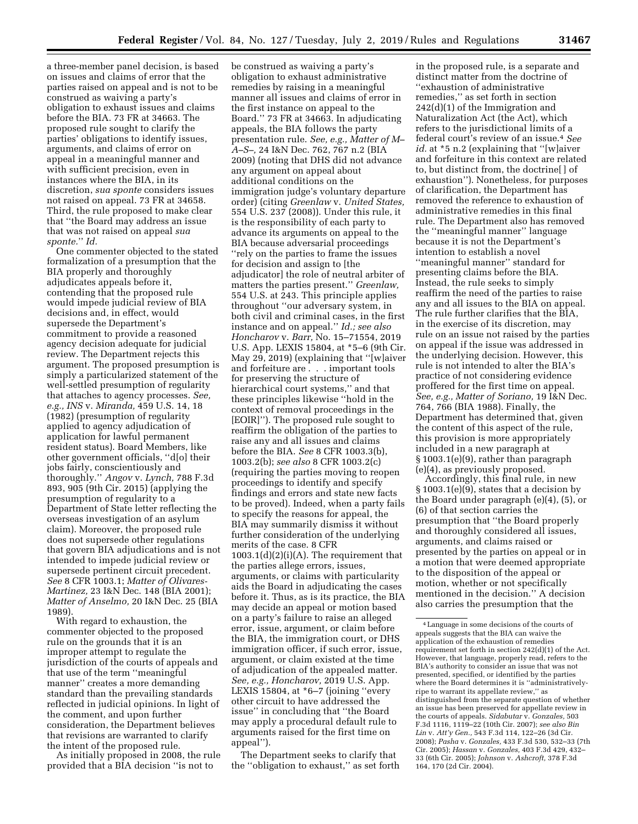a three-member panel decision, is based on issues and claims of error that the parties raised on appeal and is not to be construed as waiving a party's obligation to exhaust issues and claims before the BIA. 73 FR at 34663. The proposed rule sought to clarify the parties' obligations to identify issues, arguments, and claims of error on appeal in a meaningful manner and with sufficient precision, even in

instances where the BIA, in its discretion, *sua sponte* considers issues not raised on appeal. 73 FR at 34658. Third, the rule proposed to make clear that ''the Board may address an issue that was not raised on appeal *sua sponte.*'' *Id.* 

One commenter objected to the stated formalization of a presumption that the BIA properly and thoroughly adjudicates appeals before it, contending that the proposed rule would impede judicial review of BIA decisions and, in effect, would supersede the Department's commitment to provide a reasoned agency decision adequate for judicial review. The Department rejects this argument. The proposed presumption is simply a particularized statement of the well-settled presumption of regularity that attaches to agency processes. *See, e.g., INS* v. *Miranda,* 459 U.S. 14, 18 (1982) (presumption of regularity applied to agency adjudication of application for lawful permanent resident status). Board Members, like other government officials, ''d[o] their jobs fairly, conscientiously and thoroughly.'' *Angov* v. *Lynch,* 788 F.3d 893, 905 (9th Cir. 2015) (applying the presumption of regularity to a Department of State letter reflecting the overseas investigation of an asylum claim). Moreover, the proposed rule does not supersede other regulations that govern BIA adjudications and is not intended to impede judicial review or supersede pertinent circuit precedent. *See* 8 CFR 1003.1; *Matter of Olivares-Martinez,* 23 I&N Dec. 148 (BIA 2001); *Matter of Anselmo,* 20 I&N Dec. 25 (BIA 1989).

With regard to exhaustion, the commenter objected to the proposed rule on the grounds that it is an improper attempt to regulate the jurisdiction of the courts of appeals and that use of the term ''meaningful manner'' creates a more demanding standard than the prevailing standards reflected in judicial opinions. In light of the comment, and upon further consideration, the Department believes that revisions are warranted to clarify the intent of the proposed rule.

As initially proposed in 2008, the rule provided that a BIA decision ''is not to

be construed as waiving a party's obligation to exhaust administrative remedies by raising in a meaningful manner all issues and claims of error in the first instance on appeal to the Board.'' 73 FR at 34663. In adjudicating appeals, the BIA follows the party presentation rule. *See, e.g., Matter of M– A–S–,* 24 I&N Dec. 762, 767 n.2 (BIA 2009) (noting that DHS did not advance any argument on appeal about additional conditions on the immigration judge's voluntary departure order) (citing *Greenlaw* v. *United States,*  554 U.S. 237 (2008)). Under this rule, it is the responsibility of each party to advance its arguments on appeal to the BIA because adversarial proceedings ''rely on the parties to frame the issues for decision and assign to [the adjudicator] the role of neutral arbiter of matters the parties present.'' *Greenlaw,*  554 U.S. at 243. This principle applies throughout ''our adversary system, in both civil and criminal cases, in the first instance and on appeal.'' *Id.; see also Honcharov* v. *Barr,* No. 15–71554, 2019 U.S. App. LEXIS 15804, at \*5–6 (9th Cir. May 29, 2019) (explaining that ''[w]aiver and forfeiture are . . . important tools for preserving the structure of hierarchical court systems,'' and that these principles likewise ''hold in the context of removal proceedings in the [EOIR]''). The proposed rule sought to reaffirm the obligation of the parties to raise any and all issues and claims before the BIA. *See* 8 CFR 1003.3(b), 1003.2(b); *see also* 8 CFR 1003.2(c) (requiring the parties moving to reopen proceedings to identify and specify findings and errors and state new facts to be proved). Indeed, when a party fails to specify the reasons for appeal, the BIA may summarily dismiss it without further consideration of the underlying merits of the case. 8 CFR  $1003.1(d)(2)(i)(A)$ . The requirement that the parties allege errors, issues, arguments, or claims with particularity aids the Board in adjudicating the cases before it. Thus, as is its practice, the BIA may decide an appeal or motion based on a party's failure to raise an alleged error, issue, argument, or claim before the BIA, the immigration court, or DHS immigration officer, if such error, issue, argument, or claim existed at the time of adjudication of the appealed matter. *See, e.g., Honcharov,* 2019 U.S. App. LEXIS 15804, at \*6–7 (joining ''every other circuit to have addressed the issue'' in concluding that ''the Board may apply a procedural default rule to arguments raised for the first time on appeal'').

The Department seeks to clarify that the ''obligation to exhaust,'' as set forth

in the proposed rule, is a separate and distinct matter from the doctrine of ''exhaustion of administrative remedies,'' as set forth in section 242(d)(1) of the Immigration and Naturalization Act (the Act), which refers to the jurisdictional limits of a federal court's review of an issue.4 *See id.* at \*5 n.2 (explaining that ''[w]aiver and forfeiture in this context are related to, but distinct from, the doctrine[ ] of exhaustion''). Nonetheless, for purposes of clarification, the Department has removed the reference to exhaustion of administrative remedies in this final rule. The Department also has removed the ''meaningful manner'' language because it is not the Department's intention to establish a novel ''meaningful manner'' standard for presenting claims before the BIA. Instead, the rule seeks to simply reaffirm the need of the parties to raise any and all issues to the BIA on appeal. The rule further clarifies that the BIA, in the exercise of its discretion, may rule on an issue not raised by the parties on appeal if the issue was addressed in the underlying decision. However, this rule is not intended to alter the BIA's practice of not considering evidence proffered for the first time on appeal. *See, e.g., Matter of Soriano,* 19 I&N Dec. 764, 766 (BIA 1988). Finally, the Department has determined that, given the content of this aspect of the rule, this provision is more appropriately included in a new paragraph at § 1003.1(e)(9), rather than paragraph (e)(4), as previously proposed.

Accordingly, this final rule, in new § 1003.1(e)(9), states that a decision by the Board under paragraph (e)(4), (5), or (6) of that section carries the presumption that ''the Board properly and thoroughly considered all issues, arguments, and claims raised or presented by the parties on appeal or in a motion that were deemed appropriate to the disposition of the appeal or motion, whether or not specifically mentioned in the decision.'' A decision also carries the presumption that the

<sup>4</sup>Language in some decisions of the courts of appeals suggests that the BIA can waive the application of the exhaustion of remedies requirement set forth in section 242(d)(1) of the Act. However, that language, properly read, refers to the BIA's authority to consider an issue that was not presented, specified, or identified by the parties where the Board determines it is ''administrativelyripe to warrant its appellate review,'' as distinguished from the separate question of whether an issue has been preserved for appellate review in the courts of appeals. *Sidabutar* v. *Gonzales,* 503 F.3d 1116, 1119–22 (10th Cir. 2007); *see also Bin Lin* v. *Att'y Gen.,* 543 F.3d 114, 122–26 (3d Cir. 2008); *Pasha* v. *Gonzales,* 433 F.3d 530, 532–33 (7th Cir. 2005); *Hassan* v. *Gonzales,* 403 F.3d 429, 432– 33 (6th Cir. 2005); *Johnson* v. *Ashcroft,* 378 F.3d 164, 170 (2d Cir. 2004).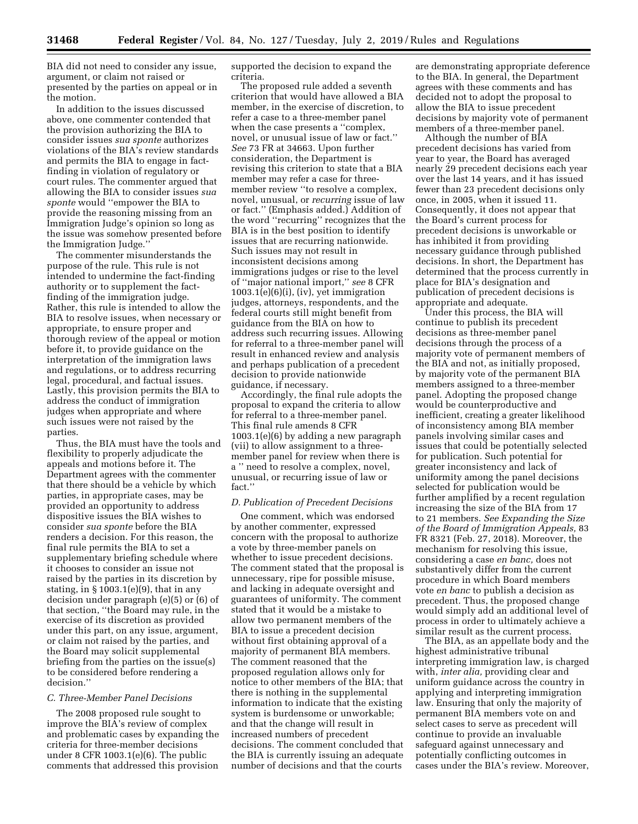BIA did not need to consider any issue, argument, or claim not raised or presented by the parties on appeal or in the motion.

In addition to the issues discussed above, one commenter contended that the provision authorizing the BIA to consider issues *sua sponte* authorizes violations of the BIA's review standards and permits the BIA to engage in factfinding in violation of regulatory or court rules. The commenter argued that allowing the BIA to consider issues *sua sponte* would ''empower the BIA to provide the reasoning missing from an Immigration Judge's opinion so long as the issue was somehow presented before the Immigration Judge.''

The commenter misunderstands the purpose of the rule. This rule is not intended to undermine the fact-finding authority or to supplement the factfinding of the immigration judge. Rather, this rule is intended to allow the BIA to resolve issues, when necessary or appropriate, to ensure proper and thorough review of the appeal or motion before it, to provide guidance on the interpretation of the immigration laws and regulations, or to address recurring legal, procedural, and factual issues. Lastly, this provision permits the BIA to address the conduct of immigration judges when appropriate and where such issues were not raised by the parties.

Thus, the BIA must have the tools and flexibility to properly adjudicate the appeals and motions before it. The Department agrees with the commenter that there should be a vehicle by which parties, in appropriate cases, may be provided an opportunity to address dispositive issues the BIA wishes to consider *sua sponte* before the BIA renders a decision. For this reason, the final rule permits the BIA to set a supplementary briefing schedule where it chooses to consider an issue not raised by the parties in its discretion by stating, in  $\S 1003.1(e)(9)$ , that in any decision under paragraph (e)(5) or (6) of that section, ''the Board may rule, in the exercise of its discretion as provided under this part, on any issue, argument, or claim not raised by the parties, and the Board may solicit supplemental briefing from the parties on the issue(s) to be considered before rendering a decision.''

## *C. Three-Member Panel Decisions*

The 2008 proposed rule sought to improve the BIA's review of complex and problematic cases by expanding the criteria for three-member decisions under 8 CFR 1003.1(e)(6). The public comments that addressed this provision

supported the decision to expand the criteria.

The proposed rule added a seventh criterion that would have allowed a BIA member, in the exercise of discretion, to refer a case to a three-member panel when the case presents a "complex, novel, or unusual issue of law or fact.'' *See* 73 FR at 34663. Upon further consideration, the Department is revising this criterion to state that a BIA member may refer a case for threemember review ''to resolve a complex, novel, unusual, or *recurring* issue of law or fact.'' (Emphasis added.) Addition of the word ''recurring'' recognizes that the BIA is in the best position to identify issues that are recurring nationwide. Such issues may not result in inconsistent decisions among immigrations judges or rise to the level of ''major national import,'' *see* 8 CFR 1003.1(e)(6)(i), (iv), yet immigration judges, attorneys, respondents, and the federal courts still might benefit from guidance from the BIA on how to address such recurring issues. Allowing for referral to a three-member panel will result in enhanced review and analysis and perhaps publication of a precedent decision to provide nationwide guidance, if necessary.

Accordingly, the final rule adopts the proposal to expand the criteria to allow for referral to a three-member panel. This final rule amends 8 CFR 1003.1(e)(6) by adding a new paragraph (vii) to allow assignment to a threemember panel for review when there is a '' need to resolve a complex, novel, unusual, or recurring issue of law or fact.''

# *D. Publication of Precedent Decisions*

One comment, which was endorsed by another commenter, expressed concern with the proposal to authorize a vote by three-member panels on whether to issue precedent decisions. The comment stated that the proposal is unnecessary, ripe for possible misuse, and lacking in adequate oversight and guarantees of uniformity. The comment stated that it would be a mistake to allow two permanent members of the BIA to issue a precedent decision without first obtaining approval of a majority of permanent BIA members. The comment reasoned that the proposed regulation allows only for notice to other members of the BIA; that there is nothing in the supplemental information to indicate that the existing system is burdensome or unworkable; and that the change will result in increased numbers of precedent decisions. The comment concluded that the BIA is currently issuing an adequate number of decisions and that the courts

are demonstrating appropriate deference to the BIA. In general, the Department agrees with these comments and has decided not to adopt the proposal to allow the BIA to issue precedent decisions by majority vote of permanent members of a three-member panel.

Although the number of BIA precedent decisions has varied from year to year, the Board has averaged nearly 29 precedent decisions each year over the last 14 years, and it has issued fewer than 23 precedent decisions only once, in 2005, when it issued 11. Consequently, it does not appear that the Board's current process for precedent decisions is unworkable or has inhibited it from providing necessary guidance through published decisions. In short, the Department has determined that the process currently in place for BIA's designation and publication of precedent decisions is appropriate and adequate.

Under this process, the BIA will continue to publish its precedent decisions as three-member panel decisions through the process of a majority vote of permanent members of the BIA and not, as initially proposed, by majority vote of the permanent BIA members assigned to a three-member panel. Adopting the proposed change would be counterproductive and inefficient, creating a greater likelihood of inconsistency among BIA member panels involving similar cases and issues that could be potentially selected for publication. Such potential for greater inconsistency and lack of uniformity among the panel decisions selected for publication would be further amplified by a recent regulation increasing the size of the BIA from 17 to 21 members. *See Expanding the Size of the Board of Immigration Appeals,* 83 FR 8321 (Feb. 27, 2018). Moreover, the mechanism for resolving this issue, considering a case *en banc,* does not substantively differ from the current procedure in which Board members vote *en banc* to publish a decision as precedent. Thus, the proposed change would simply add an additional level of process in order to ultimately achieve a similar result as the current process.

The BIA, as an appellate body and the highest administrative tribunal interpreting immigration law, is charged with, *inter alia,* providing clear and uniform guidance across the country in applying and interpreting immigration law. Ensuring that only the majority of permanent BIA members vote on and select cases to serve as precedent will continue to provide an invaluable safeguard against unnecessary and potentially conflicting outcomes in cases under the BIA's review. Moreover,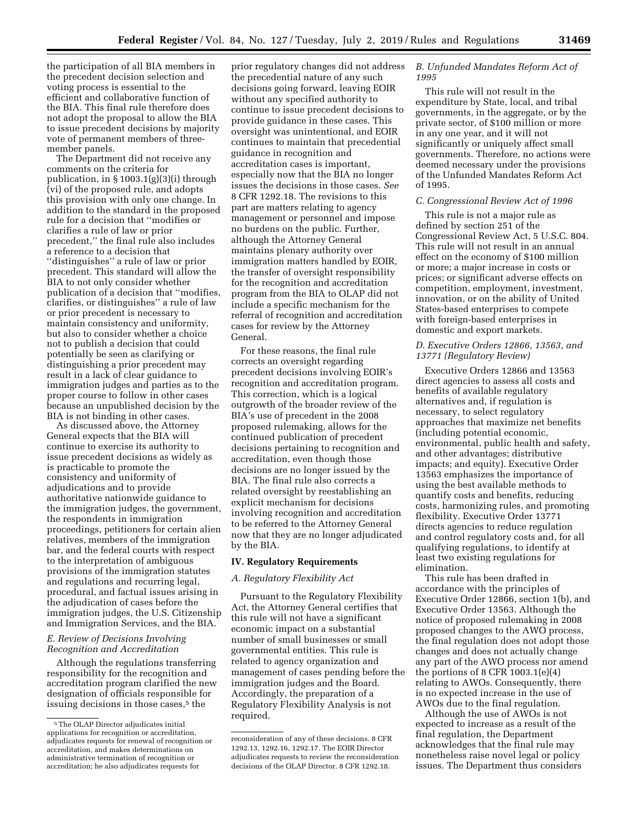the participation of all BIA members in the precedent decision selection and voting process is essential to the efficient and collaborative function of the BIA. This final rule therefore does not adopt the proposal to allow the BIA to issue precedent decisions by majority vote of permanent members of threemember panels.

The Department did not receive any comments on the criteria for publication, in § 1003.1(g)(3)(i) through (vi) of the proposed rule, and adopts this provision with only one change. In addition to the standard in the proposed rule for a decision that ''modifies or clarifies a rule of law or prior precedent,'' the final rule also includes a reference to a decision that ''distinguishes'' a rule of law or prior precedent. This standard will allow the BIA to not only consider whether publication of a decision that ''modifies, clarifies, or distinguishes'' a rule of law or prior precedent is necessary to maintain consistency and uniformity, but also to consider whether a choice not to publish a decision that could potentially be seen as clarifying or distinguishing a prior precedent may result in a lack of clear guidance to immigration judges and parties as to the proper course to follow in other cases because an unpublished decision by the BIA is not binding in other cases.

As discussed above, the Attorney General expects that the BIA will continue to exercise its authority to issue precedent decisions as widely as is practicable to promote the consistency and uniformity of adjudications and to provide authoritative nationwide guidance to the immigration judges, the government, the respondents in immigration proceedings, petitioners for certain alien relatives, members of the immigration bar, and the federal courts with respect to the interpretation of ambiguous provisions of the immigration statutes and regulations and recurring legal, procedural, and factual issues arising in the adjudication of cases before the immigration judges, the U.S. Citizenship and Immigration Services, and the BIA.

# *E. Review of Decisions Involving Recognition and Accreditation*

Although the regulations transferring responsibility for the recognition and accreditation program clarified the new designation of officials responsible for issuing decisions in those cases,<sup>5</sup> the

prior regulatory changes did not address the precedential nature of any such decisions going forward, leaving EOIR without any specified authority to continue to issue precedent decisions to provide guidance in these cases. This oversight was unintentional, and EOIR continues to maintain that precedential guidance in recognition and accreditation cases is important, especially now that the BIA no longer issues the decisions in those cases. *See*  8 CFR 1292.18. The revisions to this part are matters relating to agency management or personnel and impose no burdens on the public. Further, although the Attorney General maintains plenary authority over immigration matters handled by EOIR, the transfer of oversight responsibility for the recognition and accreditation program from the BIA to OLAP did not include a specific mechanism for the referral of recognition and accreditation cases for review by the Attorney General.

For these reasons, the final rule corrects an oversight regarding precedent decisions involving EOIR's recognition and accreditation program. This correction, which is a logical outgrowth of the broader review of the BIA's use of precedent in the 2008 proposed rulemaking, allows for the continued publication of precedent decisions pertaining to recognition and accreditation, even though those decisions are no longer issued by the BIA. The final rule also corrects a related oversight by reestablishing an explicit mechanism for decisions involving recognition and accreditation to be referred to the Attorney General now that they are no longer adjudicated by the BIA.

## **IV. Regulatory Requirements**

# *A. Regulatory Flexibility Act*

Pursuant to the Regulatory Flexibility Act, the Attorney General certifies that this rule will not have a significant economic impact on a substantial number of small businesses or small governmental entities. This rule is related to agency organization and management of cases pending before the immigration judges and the Board. Accordingly, the preparation of a Regulatory Flexibility Analysis is not required.

# *B. Unfunded Mandates Reform Act of 1995*

This rule will not result in the expenditure by State, local, and tribal governments, in the aggregate, or by the private sector, of \$100 million or more in any one year, and it will not significantly or uniquely affect small governments. Therefore, no actions were deemed necessary under the provisions of the Unfunded Mandates Reform Act of 1995.

## *C. Congressional Review Act of 1996*

This rule is not a major rule as defined by section 251 of the Congressional Review Act, 5 U.S.C. 804. This rule will not result in an annual effect on the economy of \$100 million or more; a major increase in costs or prices; or significant adverse effects on competition, employment, investment, innovation, or on the ability of United States-based enterprises to compete with foreign-based enterprises in domestic and export markets.

# *D. Executive Orders 12866, 13563, and 13771 (Regulatory Review)*

Executive Orders 12866 and 13563 direct agencies to assess all costs and benefits of available regulatory alternatives and, if regulation is necessary, to select regulatory approaches that maximize net benefits (including potential economic, environmental, public health and safety, and other advantages; distributive impacts; and equity). Executive Order 13563 emphasizes the importance of using the best available methods to quantify costs and benefits, reducing costs, harmonizing rules, and promoting flexibility. Executive Order 13771 directs agencies to reduce regulation and control regulatory costs and, for all qualifying regulations, to identify at least two existing regulations for elimination.

This rule has been drafted in accordance with the principles of Executive Order 12866, section 1(b), and Executive Order 13563. Although the notice of proposed rulemaking in 2008 proposed changes to the AWO process, the final regulation does not adopt those changes and does not actually change any part of the AWO process nor amend the portions of 8 CFR  $1003.1(e)(4)$ relating to AWOs. Consequently, there is no expected increase in the use of AWOs due to the final regulation.

Although the use of AWOs is not expected to increase as a result of the final regulation, the Department acknowledges that the final rule may nonetheless raise novel legal or policy issues. The Department thus considers

<sup>5</sup>The OLAP Director adjudicates initial applications for recognition or accreditation, adjudicates requests for renewal of recognition or accreditation, and makes determinations on administrative termination of recognition or accreditation; he also adjudicates requests for

reconsideration of any of these decisions. 8 CFR 1292.13, 1292.16, 1292.17. The EOIR Director adjudicates requests to review the reconsideration decisions of the OLAP Director. 8 CFR 1292.18.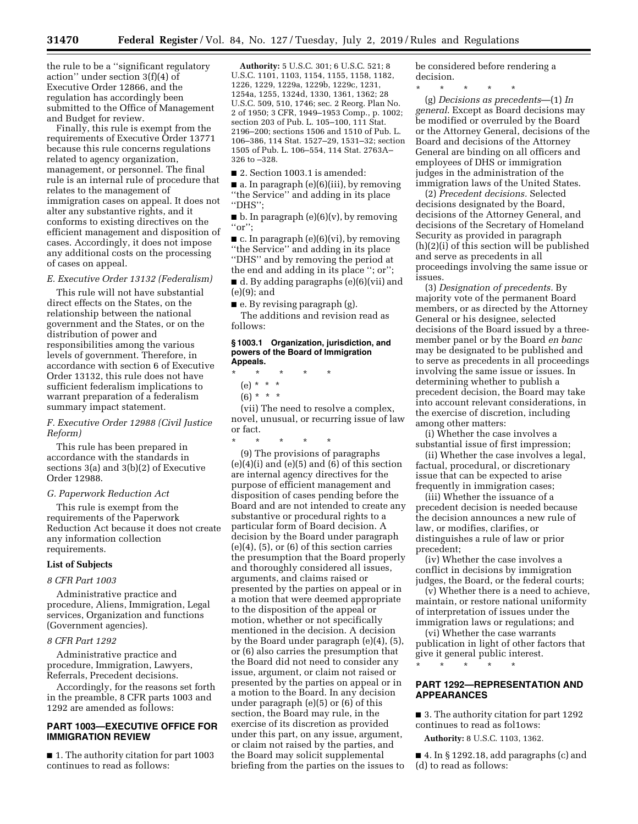the rule to be a ''significant regulatory action'' under section 3(f)(4) of Executive Order 12866, and the regulation has accordingly been submitted to the Office of Management and Budget for review.

Finally, this rule is exempt from the requirements of Executive Order 13771 because this rule concerns regulations related to agency organization, management, or personnel. The final rule is an internal rule of procedure that relates to the management of immigration cases on appeal. It does not alter any substantive rights, and it conforms to existing directives on the efficient management and disposition of cases. Accordingly, it does not impose any additional costs on the processing of cases on appeal.

# *E. Executive Order 13132 (Federalism)*

This rule will not have substantial direct effects on the States, on the relationship between the national government and the States, or on the distribution of power and responsibilities among the various levels of government. Therefore, in accordance with section 6 of Executive Order 13132, this rule does not have sufficient federalism implications to warrant preparation of a federalism summary impact statement.

# *F. Executive Order 12988 (Civil Justice Reform)*

This rule has been prepared in accordance with the standards in sections 3(a) and 3(b)(2) of Executive Order 12988.

## *G. Paperwork Reduction Act*

This rule is exempt from the requirements of the Paperwork Reduction Act because it does not create any information collection requirements.

# **List of Subjects**

#### *8 CFR Part 1003*

Administrative practice and procedure, Aliens, Immigration, Legal services, Organization and functions (Government agencies).

# *8 CFR Part 1292*

Administrative practice and procedure, Immigration, Lawyers, Referrals, Precedent decisions.

Accordingly, for the reasons set forth in the preamble, 8 CFR parts 1003 and 1292 are amended as follows:

# **PART 1003—EXECUTIVE OFFICE FOR IMMIGRATION REVIEW**

■ 1. The authority citation for part 1003 continues to read as follows:

**Authority:** 5 U.S.C. 301; 6 U.S.C. 521; 8 U.S.C. 1101, 1103, 1154, 1155, 1158, 1182, 1226, 1229, 1229a, 1229b, 1229c, 1231, 1254a, 1255, 1324d, 1330, 1361, 1362; 28 U.S.C. 509, 510, 1746; sec. 2 Reorg. Plan No. 2 of 1950; 3 CFR, 1949–1953 Comp., p. 1002; section 203 of Pub. L. 105–100, 111 Stat. 2196–200; sections 1506 and 1510 of Pub. L. 106–386, 114 Stat. 1527–29, 1531–32; section 1505 of Pub. L. 106–554, 114 Stat. 2763A– 326 to –328.

■ 2. Section 1003.1 is amended:

■ a. In paragraph (e)(6)(iii), by removing ''the Service'' and adding in its place ''DHS'';

 $\blacksquare$  b. In paragraph (e)(6)(v), by removing ''or'';

 $\blacksquare$  c. In paragraph (e)(6)(vi), by removing ''the Service'' and adding in its place ''DHS'' and by removing the period at the end and adding in its place ''; or'';

■ d. By adding paragraphs (e)(6)(vii) and (e)(9); and

■ e. By revising paragraph (g).

The additions and revision read as follows:

### **§ 1003.1 Organization, jurisdiction, and powers of the Board of Immigration Appeals.**

- \* \* \* \* \*
	- (e) \* \* \*
	- $(6) * * * *$

(vii) The need to resolve a complex, novel, unusual, or recurring issue of law or fact.

\* \* \* \* \* (9) The provisions of paragraphs  $(e)(4)(i)$  and  $(e)(5)$  and  $(6)$  of this section are internal agency directives for the purpose of efficient management and disposition of cases pending before the Board and are not intended to create any substantive or procedural rights to a particular form of Board decision. A decision by the Board under paragraph  $(e)(4)$ ,  $(5)$ , or  $(6)$  of this section carries the presumption that the Board properly and thoroughly considered all issues, arguments, and claims raised or presented by the parties on appeal or in a motion that were deemed appropriate to the disposition of the appeal or motion, whether or not specifically mentioned in the decision. A decision by the Board under paragraph (e)(4), (5), or (6) also carries the presumption that the Board did not need to consider any issue, argument, or claim not raised or presented by the parties on appeal or in a motion to the Board. In any decision under paragraph (e)(5) or (6) of this section, the Board may rule, in the exercise of its discretion as provided under this part, on any issue, argument, or claim not raised by the parties, and the Board may solicit supplemental briefing from the parties on the issues to

be considered before rendering a decision.

\* \* \* \* \* (g) *Decisions as precedents*—(1) *In general*. Except as Board decisions may be modified or overruled by the Board or the Attorney General, decisions of the Board and decisions of the Attorney General are binding on all officers and employees of DHS or immigration judges in the administration of the immigration laws of the United States.

(2) *Precedent decisions.* Selected decisions designated by the Board, decisions of the Attorney General, and decisions of the Secretary of Homeland Security as provided in paragraph (h)(2)(i) of this section will be published and serve as precedents in all proceedings involving the same issue or issues.

(3) *Designation of precedents.* By majority vote of the permanent Board members, or as directed by the Attorney General or his designee, selected decisions of the Board issued by a threemember panel or by the Board *en banc*  may be designated to be published and to serve as precedents in all proceedings involving the same issue or issues. In determining whether to publish a precedent decision, the Board may take into account relevant considerations, in the exercise of discretion, including among other matters:

(i) Whether the case involves a substantial issue of first impression;

(ii) Whether the case involves a legal, factual, procedural, or discretionary issue that can be expected to arise frequently in immigration cases;

(iii) Whether the issuance of a precedent decision is needed because the decision announces a new rule of law, or modifies, clarifies, or distinguishes a rule of law or prior precedent;

(iv) Whether the case involves a conflict in decisions by immigration judges, the Board, or the federal courts;

(v) Whether there is a need to achieve, maintain, or restore national uniformity of interpretation of issues under the immigration laws or regulations; and

(vi) Whether the case warrants publication in light of other factors that give it general public interest.

\* \* \* \* \*

# **PART 1292—REPRESENTATION AND APPEARANCES**

■ 3. The authority citation for part 1292 continues to read as fol1ows:

**Authority:** 8 U.S.C. 1103, 1362.

■ 4. In § 1292.18, add paragraphs (c) and (d) to read as follows: